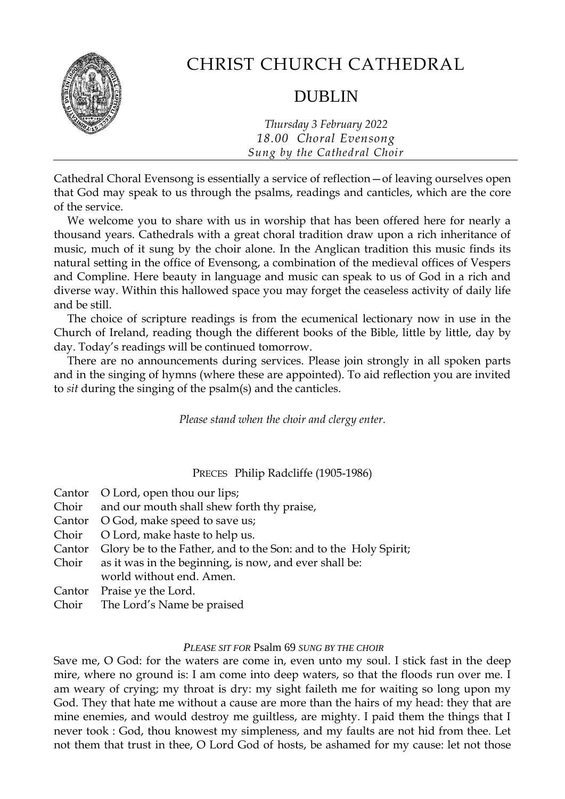

# CHRIST CHURCH CATHEDRAL

# DUBLIN

*Thursday 3 February 2022 18.00 Choral Evensong Sung by the Cathedral Choir*

Cathedral Choral Evensong is essentially a service of reflection—of leaving ourselves open that God may speak to us through the psalms, readings and canticles, which are the core of the service.

We welcome you to share with us in worship that has been offered here for nearly a thousand years. Cathedrals with a great choral tradition draw upon a rich inheritance of music, much of it sung by the choir alone. In the Anglican tradition this music finds its natural setting in the office of Evensong, a combination of the medieval offices of Vespers and Compline. Here beauty in language and music can speak to us of God in a rich and diverse way. Within this hallowed space you may forget the ceaseless activity of daily life and be still.

The choice of scripture readings is from the ecumenical lectionary now in use in the Church of Ireland, reading though the different books of the Bible, little by little, day by day. Today's readings will be continued tomorrow.

There are no announcements during services. Please join strongly in all spoken parts and in the singing of hymns (where these are appointed). To aid reflection you are invited to *sit* during the singing of the psalm(s) and the canticles.

*Please stand when the choir and clergy enter.*

PRECES Philip Radcliffe (1905-1986)

| Cantor O Lord, open thou our lips;                                     |
|------------------------------------------------------------------------|
| Choir and our mouth shall shew forth thy praise,                       |
| Cantor O God, make speed to save us;                                   |
| Choir O Lord, make haste to help us.                                   |
| Cantor Glory be to the Father, and to the Son: and to the Holy Spirit; |
| Choir as it was in the beginning, is now, and ever shall be:           |
| world without end. Amen.                                               |
| Cantor Praise ye the Lord.                                             |

Choir The Lord's Name be praised

# *PLEASE SIT FOR* Psalm 69 *SUNG BY THE CHOIR*

Save me, O God: for the waters are come in, even unto my soul. I stick fast in the deep mire, where no ground is: I am come into deep waters, so that the floods run over me. I am weary of crying; my throat is dry: my sight faileth me for waiting so long upon my God. They that hate me without a cause are more than the hairs of my head: they that are mine enemies, and would destroy me guiltless, are mighty. I paid them the things that I never took : God, thou knowest my simpleness, and my faults are not hid from thee. Let not them that trust in thee, O Lord God of hosts, be ashamed for my cause: let not those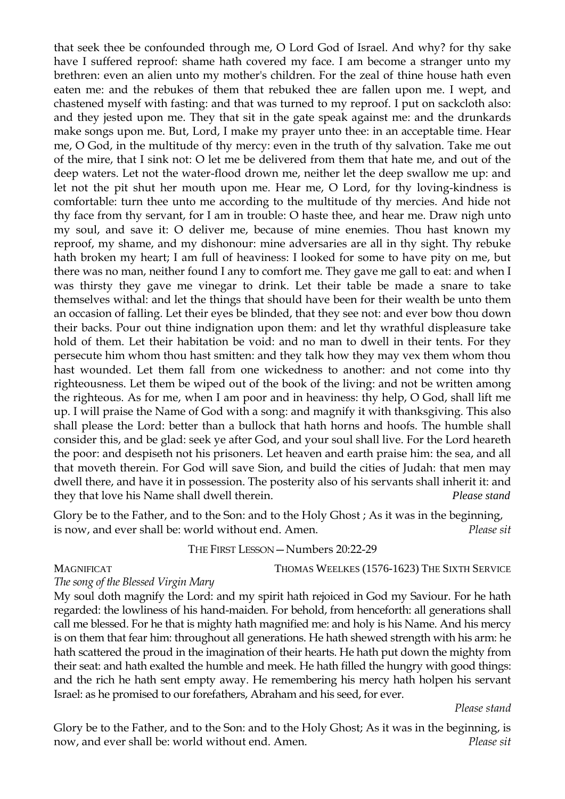that seek thee be confounded through me, O Lord God of Israel. And why? for thy sake have I suffered reproof: shame hath covered my face. I am become a stranger unto my brethren: even an alien unto my mother's children. For the zeal of thine house hath even eaten me: and the rebukes of them that rebuked thee are fallen upon me. I wept, and chastened myself with fasting: and that was turned to my reproof. I put on sackcloth also: and they jested upon me. They that sit in the gate speak against me: and the drunkards make songs upon me. But, Lord, I make my prayer unto thee: in an acceptable time. Hear me, O God, in the multitude of thy mercy: even in the truth of thy salvation. Take me out of the mire, that I sink not: O let me be delivered from them that hate me, and out of the deep waters. Let not the water-flood drown me, neither let the deep swallow me up: and let not the pit shut her mouth upon me. Hear me, O Lord, for thy loving-kindness is comfortable: turn thee unto me according to the multitude of thy mercies. And hide not thy face from thy servant, for I am in trouble: O haste thee, and hear me. Draw nigh unto my soul, and save it: O deliver me, because of mine enemies. Thou hast known my reproof, my shame, and my dishonour: mine adversaries are all in thy sight. Thy rebuke hath broken my heart; I am full of heaviness: I looked for some to have pity on me, but there was no man, neither found I any to comfort me. They gave me gall to eat: and when I was thirsty they gave me vinegar to drink. Let their table be made a snare to take themselves withal: and let the things that should have been for their wealth be unto them an occasion of falling. Let their eyes be blinded, that they see not: and ever bow thou down their backs. Pour out thine indignation upon them: and let thy wrathful displeasure take hold of them. Let their habitation be void: and no man to dwell in their tents. For they persecute him whom thou hast smitten: and they talk how they may vex them whom thou hast wounded. Let them fall from one wickedness to another: and not come into thy righteousness. Let them be wiped out of the book of the living: and not be written among the righteous. As for me, when I am poor and in heaviness: thy help, O God, shall lift me up. I will praise the Name of God with a song: and magnify it with thanksgiving. This also shall please the Lord: better than a bullock that hath horns and hoofs. The humble shall consider this, and be glad: seek ye after God, and your soul shall live. For the Lord heareth the poor: and despiseth not his prisoners. Let heaven and earth praise him: the sea, and all that moveth therein. For God will save Sion, and build the cities of Judah: that men may dwell there, and have it in possession. The posterity also of his servants shall inherit it: and they that love his Name shall dwell therein. *Please stand*

Glory be to the Father, and to the Son: and to the Holy Ghost; As it was in the beginning, is now, and ever shall be: world without end. Amen. *Please sit*

#### THE FIRST LESSON—Numbers 20:22-29

MAGNIFICAT THOMAS WEELKES (1576-1623) THE SIXTH SERVICE

*The song of the Blessed Virgin Mary* 

My soul doth magnify the Lord: and my spirit hath rejoiced in God my Saviour. For he hath regarded: the lowliness of his hand-maiden. For behold, from henceforth: all generations shall call me blessed. For he that is mighty hath magnified me: and holy is his Name. And his mercy is on them that fear him: throughout all generations. He hath shewed strength with his arm: he hath scattered the proud in the imagination of their hearts. He hath put down the mighty from their seat: and hath exalted the humble and meek. He hath filled the hungry with good things: and the rich he hath sent empty away. He remembering his mercy hath holpen his servant Israel: as he promised to our forefathers, Abraham and his seed, for ever.

*Please stand*

Glory be to the Father, and to the Son: and to the Holy Ghost; As it was in the beginning, is now, and ever shall be: world without end. Amen. *Please sit*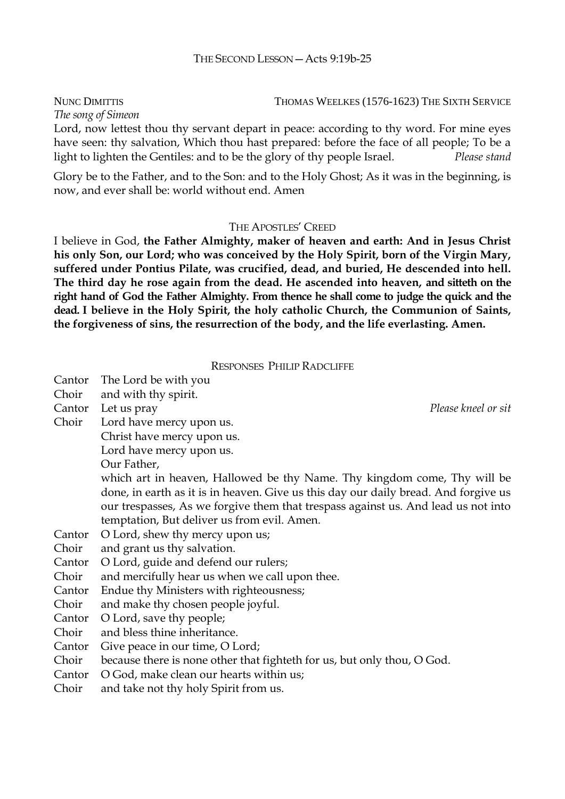NUNC DIMITTIS THOMAS WEELKES (1576-1623) THE SIXTH SERVICE *The song of Simeon* 

Lord, now lettest thou thy servant depart in peace: according to thy word. For mine eyes have seen: thy salvation, Which thou hast prepared: before the face of all people; To be a light to lighten the Gentiles: and to be the glory of thy people Israel. *Please stand*

Glory be to the Father, and to the Son: and to the Holy Ghost; As it was in the beginning, is now, and ever shall be: world without end. Amen

#### THE APOSTLES' CREED

I believe in God, **the Father Almighty, maker of heaven and earth: And in Jesus Christ his only Son, our Lord; who was conceived by the Holy Spirit, born of the Virgin Mary, suffered under Pontius Pilate, was crucified, dead, and buried, He descended into hell. The third day he rose again from the dead. He ascended into heaven, and sitteth on the right hand of God the Father Almighty. From thence he shall come to judge the quick and the dead. I believe in the Holy Spirit, the holy catholic Church, the Communion of Saints, the forgiveness of sins, the resurrection of the body, and the life everlasting. Amen.**

#### RESPONSES PHILIP RADCLIFFE

| Cantor | The Lord be with you                                                                |                     |
|--------|-------------------------------------------------------------------------------------|---------------------|
| Choir  | and with thy spirit.                                                                |                     |
| Cantor | Let us pray                                                                         | Please kneel or sit |
| Choir  | Lord have mercy upon us.                                                            |                     |
|        | Christ have mercy upon us.                                                          |                     |
|        | Lord have mercy upon us.                                                            |                     |
|        | Our Father,                                                                         |                     |
|        | which art in heaven, Hallowed be thy Name. Thy kingdom come, Thy will be            |                     |
|        | done, in earth as it is in heaven. Give us this day our daily bread. And forgive us |                     |
|        | our trespasses, As we forgive them that trespass against us. And lead us not into   |                     |
|        | temptation, But deliver us from evil. Amen.                                         |                     |
| Cantor | O Lord, shew thy mercy upon us;                                                     |                     |
| Choir  | and grant us thy salvation.                                                         |                     |
| Cantor | O Lord, guide and defend our rulers;                                                |                     |
| Choir  | and mercifully hear us when we call upon thee.                                      |                     |
| Cantor | Endue thy Ministers with righteousness;                                             |                     |
| Choir  | and make thy chosen people joyful.                                                  |                     |
| Cantor | O Lord, save thy people;                                                            |                     |
| Choir  | and bless thine inheritance.                                                        |                     |
| Cantor | Give peace in our time, O Lord;                                                     |                     |
| Choir  | because there is none other that fighteth for us, but only thou, O God.             |                     |
| Cantor | O God, make clean our hearts within us;                                             |                     |
| Choir  | and take not thy holy Spirit from us.                                               |                     |
|        |                                                                                     |                     |